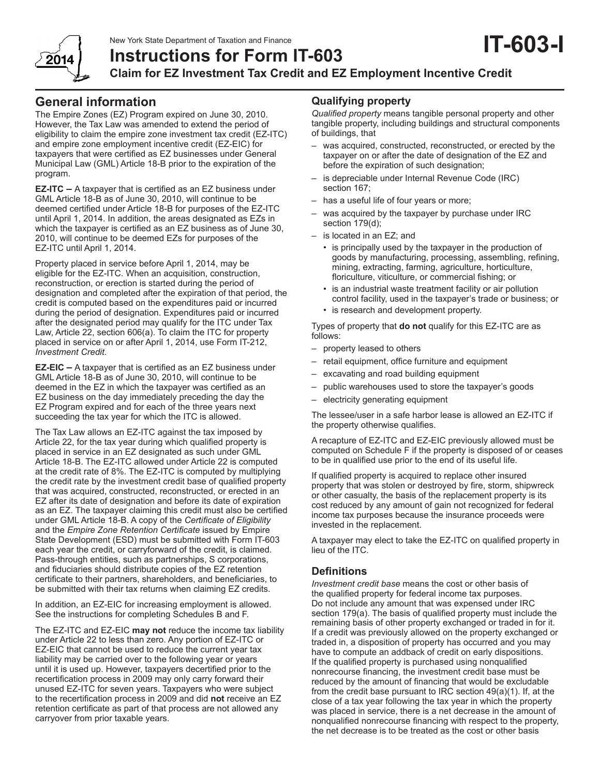

**Instructions for Form IT-603**

**Claim for EZ Investment Tax Credit and EZ Employment Incentive Credit**

# **General information**

201,

The Empire Zones (EZ) Program expired on June 30, 2010. However, the Tax Law was amended to extend the period of eligibility to claim the empire zone investment tax credit (EZ-ITC) and empire zone employment incentive credit (EZ-EIC) for taxpayers that were certified as EZ businesses under General Municipal Law (GML) Article 18-B prior to the expiration of the program.

**EZ-ITC –** A taxpayer that is certified as an EZ business under GML Article 18-B as of June 30, 2010, will continue to be deemed certified under Article 18-B for purposes of the EZ-ITC until April 1, 2014. In addition, the areas designated as EZs in which the taxpayer is certified as an EZ business as of June 30, 2010, will continue to be deemed EZs for purposes of the EZ-ITC until April 1, 2014.

Property placed in service before April 1, 2014, may be eligible for the EZ-ITC. When an acquisition, construction, reconstruction, or erection is started during the period of designation and completed after the expiration of that period, the credit is computed based on the expenditures paid or incurred during the period of designation. Expenditures paid or incurred after the designated period may qualify for the ITC under Tax Law, Article 22, section 606(a). To claim the ITC for property placed in service on or after April 1, 2014, use Form IT-212, *Investment Credit.*

**EZ-EIC –** A taxpayer that is certified as an EZ business under GML Article 18-B as of June 30, 2010, will continue to be deemed in the EZ in which the taxpayer was certified as an EZ business on the day immediately preceding the day the EZ Program expired and for each of the three years next succeeding the tax year for which the ITC is allowed.

The Tax Law allows an EZ-ITC against the tax imposed by Article 22, for the tax year during which qualified property is placed in service in an EZ designated as such under GML Article 18-B. The EZ-ITC allowed under Article 22 is computed at the credit rate of 8%. The EZ-ITC is computed by multiplying the credit rate by the investment credit base of qualified property that was acquired, constructed, reconstructed, or erected in an EZ after its date of designation and before its date of expiration as an EZ. The taxpayer claiming this credit must also be certified under GML Article 18-B. A copy of the *Certificate of Eligibility* and the *Empire Zone Retention Certificate* issued by Empire State Development (ESD) must be submitted with Form IT-603 each year the credit, or carryforward of the credit, is claimed. Pass-through entities, such as partnerships, S corporations, and fiduciaries should distribute copies of the EZ retention certificate to their partners, shareholders, and beneficiaries, to be submitted with their tax returns when claiming EZ credits.

In addition, an EZ-EIC for increasing employment is allowed. See the instructions for completing Schedules B and F.

The EZ-ITC and EZ-EIC **may not** reduce the income tax liability under Article 22 to less than zero. Any portion of EZ‑ITC or EZ-EIC that cannot be used to reduce the current year tax liability may be carried over to the following year or years until it is used up. However, taxpayers decertified prior to the recertification process in 2009 may only carry forward their unused EZ-ITC for seven years. Taxpayers who were subject to the recertification process in 2009 and did **not** receive an EZ retention certificate as part of that process are not allowed any carryover from prior taxable years.

## **Qualifying property**

*Qualified property* means tangible personal property and other tangible property, including buildings and structural components of buildings, that

- was acquired, constructed, reconstructed, or erected by the taxpayer on or after the date of designation of the EZ and before the expiration of such designation;
- is depreciable under Internal Revenue Code (IRC) section 167;
- has a useful life of four years or more;
- was acquired by the taxpayer by purchase under IRC section 179(d);
- is located in an EZ; and
	- is principally used by the taxpayer in the production of goods by manufacturing, processing, assembling, refining, mining, extracting, farming, agriculture, horticulture, floriculture, viticulture, or commercial fishing; or
	- is an industrial waste treatment facility or air pollution control facility, used in the taxpayer's trade or business; or
	- is research and development property.

Types of property that **do not** qualify for this EZ-ITC are as follows:

- property leased to others
- retail equipment, office furniture and equipment
- excavating and road building equipment
- public warehouses used to store the taxpayer's goods
- electricity generating equipment

The lessee/user in a safe harbor lease is allowed an EZ-ITC if the property otherwise qualifies.

A recapture of EZ-ITC and EZ-EIC previously allowed must be computed on Schedule F if the property is disposed of or ceases to be in qualified use prior to the end of its useful life.

If qualified property is acquired to replace other insured property that was stolen or destroyed by fire, storm, shipwreck or other casualty, the basis of the replacement property is its cost reduced by any amount of gain not recognized for federal income tax purposes because the insurance proceeds were invested in the replacement.

A taxpayer may elect to take the EZ-ITC on qualified property in lieu of the ITC.

## **Definitions**

*Investment credit base* means the cost or other basis of the qualified property for federal income tax purposes. Do not include any amount that was expensed under IRC section 179(a). The basis of qualified property must include the remaining basis of other property exchanged or traded in for it. If a credit was previously allowed on the property exchanged or traded in, a disposition of property has occurred and you may have to compute an addback of credit on early dispositions. If the qualified property is purchased using nonqualified nonrecourse financing, the investment credit base must be reduced by the amount of financing that would be excludable from the credit base pursuant to IRC section 49(a)(1). If, at the close of a tax year following the tax year in which the property was placed in service, there is a net decrease in the amount of nonqualified nonrecourse financing with respect to the property, the net decrease is to be treated as the cost or other basis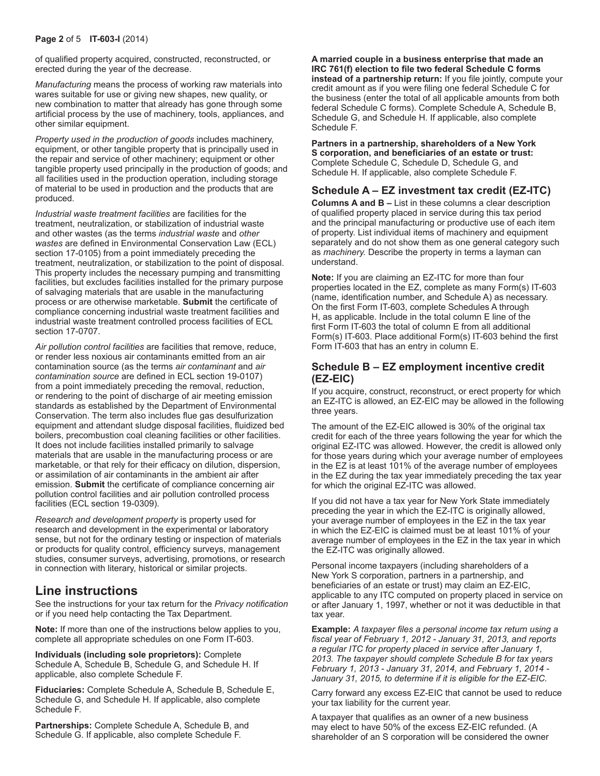of qualified property acquired, constructed, reconstructed, or erected during the year of the decrease.

*Manufacturing* means the process of working raw materials into wares suitable for use or giving new shapes, new quality, or new combination to matter that already has gone through some artificial process by the use of machinery, tools, appliances, and other similar equipment.

*Property used in the production of goods* includes machinery, equipment, or other tangible property that is principally used in the repair and service of other machinery; equipment or other tangible property used principally in the production of goods; and all facilities used in the production operation, including storage of material to be used in production and the products that are produced.

*Industrial waste treatment facilities* are facilities for the treatment, neutralization, or stabilization of industrial waste and other wastes (as the terms *industrial waste* and *other wastes* are defined in Environmental Conservation Law (ECL) section 17-0105) from a point immediately preceding the treatment, neutralization, or stabilization to the point of disposal. This property includes the necessary pumping and transmitting facilities, but excludes facilities installed for the primary purpose of salvaging materials that are usable in the manufacturing process or are otherwise marketable. **Submit** the certificate of compliance concerning industrial waste treatment facilities and industrial waste treatment controlled process facilities of ECL section 17-0707.

*Air pollution control facilities* are facilities that remove, reduce, or render less noxious air contaminants emitted from an air contamination source (as the terms *air contaminant* and *air contamination source* are defined in ECL section 19‑0107) from a point immediately preceding the removal, reduction, or rendering to the point of discharge of air meeting emission standards as established by the Department of Environmental Conservation. The term also includes flue gas desulfurization equipment and attendant sludge disposal facilities, fluidized bed boilers, precombustion coal cleaning facilities or other facilities. It does not include facilities installed primarily to salvage materials that are usable in the manufacturing process or are marketable, or that rely for their efficacy on dilution, dispersion, or assimilation of air contaminants in the ambient air after emission. **Submit** the certificate of compliance concerning air pollution control facilities and air pollution controlled process facilities (ECL section 19-0309).

*Research and development property* is property used for research and development in the experimental or laboratory sense, but not for the ordinary testing or inspection of materials or products for quality control, efficiency surveys, management studies, consumer surveys, advertising, promotions, or research in connection with literary, historical or similar projects.

# **Line instructions**

See the instructions for your tax return for the *Privacy notification*  or if you need help contacting the Tax Department.

**Note:** If more than one of the instructions below applies to you, complete all appropriate schedules on one Form IT-603.

**Individuals (including sole proprietors):** Complete Schedule A, Schedule B, Schedule G, and Schedule H. If applicable, also complete Schedule F.

**Fiduciaries:** Complete Schedule A, Schedule B, Schedule E, Schedule G, and Schedule H. If applicable, also complete Schedule F.

**Partnerships:** Complete Schedule A, Schedule B, and Schedule G. If applicable, also complete Schedule F.

**A married couple in a business enterprise that made an IRC 761(f) election to file two federal Schedule C forms instead of a partnership return:** If you file jointly, compute your credit amount as if you were filing one federal Schedule C for the business (enter the total of all applicable amounts from both federal Schedule C forms). Complete Schedule A, Schedule B, Schedule G, and Schedule H. If applicable, also complete Schedule F.

**Partners in a partnership, shareholders of a New York S corporation, and beneficiaries of an estate or trust:** Complete Schedule C, Schedule D, Schedule G, and Schedule H. If applicable, also complete Schedule F.

## **Schedule A – EZ investment tax credit (EZ-ITC)**

**Columns A and B –** List in these columns a clear description of qualified property placed in service during this tax period and the principal manufacturing or productive use of each item of property. List individual items of machinery and equipment separately and do not show them as one general category such as *machinery.* Describe the property in terms a layman can understand.

**Note:** If you are claiming an EZ-ITC for more than four properties located in the EZ, complete as many Form(s) IT-603 (name, identification number, and Schedule A) as necessary. On the first Form IT-603, complete Schedules A through H, as applicable. Include in the total column E line of the first Form IT-603 the total of column E from all additional Form(s) IT-603. Place additional Form(s) IT-603 behind the first Form IT-603 that has an entry in column E.

## **Schedule B – EZ employment incentive credit (EZ-EIC)**

If you acquire, construct, reconstruct, or erect property for which an EZ-ITC is allowed, an EZ-EIC may be allowed in the following three years.

The amount of the EZ‑EIC allowed is 30% of the original tax credit for each of the three years following the year for which the original EZ-ITC was allowed. However, the credit is allowed only for those years during which your average number of employees in the EZ is at least 101% of the average number of employees in the EZ during the tax year immediately preceding the tax year for which the original EZ-ITC was allowed.

If you did not have a tax year for New York State immediately preceding the year in which the EZ-ITC is originally allowed, your average number of employees in the EZ in the tax year in which the EZ‑EIC is claimed must be at least 101% of your average number of employees in the EZ in the tax year in which the EZ-ITC was originally allowed.

Personal income taxpayers (including shareholders of a New York S corporation, partners in a partnership, and beneficiaries of an estate or trust) may claim an EZ‑EIC, applicable to any ITC computed on property placed in service on or after January 1, 1997, whether or not it was deductible in that tax year.

**Example:** *A taxpayer files a personal income tax return using a fiscal year of February 1, 2012 - January 31, 2013, and reports a regular ITC for property placed in service after January 1, 2013. The taxpayer should complete Schedule B for tax years February 1, 2013 - January 31, 2014, and February 1, 2014 - January 31, 2015, to determine if it is eligible for the EZ‑EIC.*

Carry forward any excess EZ-EIC that cannot be used to reduce your tax liability for the current year.

A taxpayer that qualifies as an owner of a new business may elect to have 50% of the excess EZ-EIC refunded. (A shareholder of an S corporation will be considered the owner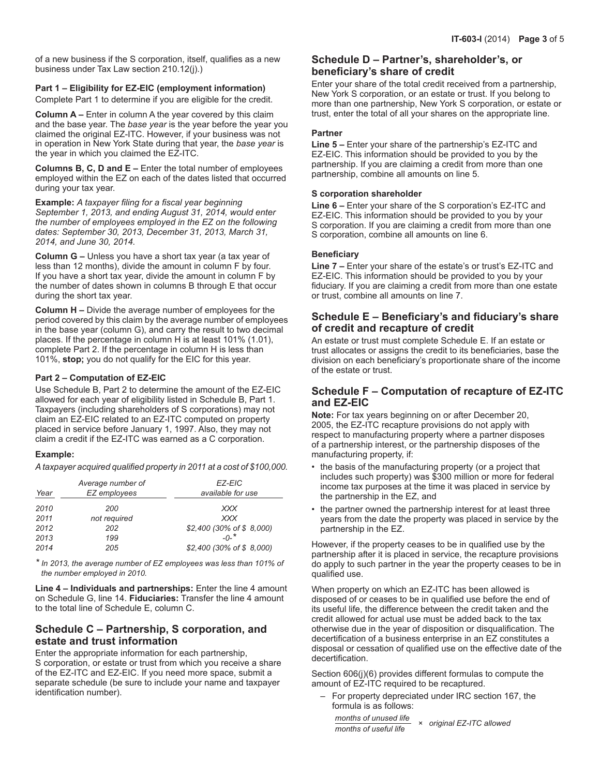of a new business if the S corporation, itself, qualifies as a new business under Tax Law section 210.12(j).)

#### **Part 1 – Eligibility for EZ-EIC (employment information)**

Complete Part 1 to determine if you are eligible for the credit.

**Column A –** Enter in column A the year covered by this claim and the base year. The *base year* is the year before the year you claimed the original EZ-ITC. However, if your business was not in operation in New York State during that year, the *base year* is the year in which you claimed the EZ-ITC.

**Columns B, C, D and E –** Enter the total number of employees employed within the EZ on each of the dates listed that occurred during your tax year.

**Example:** *A taxpayer filing for a fiscal year beginning September 1, 2013, and ending August 31, 2014, would enter the number of employees employed in the EZ on the following dates: September 30, 2013, December 31, 2013, March 31, 2014, and June 30, 2014.*

**Column G –** Unless you have a short tax year (a tax year of less than 12 months), divide the amount in column F by four. If you have a short tax year, divide the amount in column F by the number of dates shown in columns B through E that occur during the short tax year.

**Column H –** Divide the average number of employees for the period covered by this claim by the average number of employees in the base year (column G), and carry the result to two decimal places. If the percentage in column H is at least 101% (1.01), complete Part 2. If the percentage in column H is less than 101%, **stop;** you do not qualify for the EIC for this year.

#### **Part 2 – Computation of EZ-EIC**

Use Schedule B, Part 2 to determine the amount of the EZ‑EIC allowed for each year of eligibility listed in Schedule B, Part 1. Taxpayers (including shareholders of S corporations) may not claim an EZ-EIC related to an EZ-ITC computed on property placed in service before January 1, 1997. Also, they may not claim a credit if the EZ-ITC was earned as a C corporation.

#### **Example:**

*A taxpayer acquired qualified property in 2011 at a cost of \$100,000.*

| Year | Average number of<br>EZ employees | EZ-EIC<br>available for use |
|------|-----------------------------------|-----------------------------|
| 2010 | 200                               | <b>XXX</b>                  |
| 2011 | not required                      | <b>XXX</b>                  |
| 2012 | 202                               | \$2,400 (30% of \$8,000)    |
| 2013 | 199                               | $-0-$ *                     |
| 2014 | 205                               | \$2,400 (30% of \$8,000)    |

*\* In 2013, the average number of EZ employees was less than 101% of the number employed in 2010.*

**Line 4 – Individuals and partnerships:** Enter the line 4 amount on Schedule G, line 14. **Fiduciaries:** Transfer the line 4 amount to the total line of Schedule E, column C.

### **Schedule C – Partnership, S corporation, and estate and trust information**

Enter the appropriate information for each partnership, S corporation, or estate or trust from which you receive a share of the EZ-ITC and EZ-EIC. If you need more space, submit a separate schedule (be sure to include your name and taxpayer identification number).

## **Schedule D – Partner's, shareholder's, or beneficiary's share of credit**

Enter your share of the total credit received from a partnership, New York S corporation, or an estate or trust. If you belong to more than one partnership, New York S corporation, or estate or trust, enter the total of all your shares on the appropriate line.

#### **Partner**

**Line 5 –** Enter your share of the partnership's EZ-ITC and EZ-EIC. This information should be provided to you by the partnership. If you are claiming a credit from more than one partnership, combine all amounts on line 5.

#### **S corporation shareholder**

**Line 6 –** Enter your share of the S corporation's EZ-ITC and EZ-EIC. This information should be provided to you by your S corporation. If you are claiming a credit from more than one S corporation, combine all amounts on line 6.

#### **Beneficiary**

**Line 7 –** Enter your share of the estate's or trust's EZ-ITC and EZ-EIC. This information should be provided to you by your fiduciary. If you are claiming a credit from more than one estate or trust, combine all amounts on line 7.

### **Schedule E – Beneficiary's and fiduciary's share of credit and recapture of credit**

An estate or trust must complete Schedule E. If an estate or trust allocates or assigns the credit to its beneficiaries, base the division on each beneficiary's proportionate share of the income of the estate or trust.

### **Schedule F – Computation of recapture of EZ-ITC and EZ-EIC**

**Note:** For tax years beginning on or after December 20, 2005, the EZ-ITC recapture provisions do not apply with respect to manufacturing property where a partner disposes of a partnership interest, or the partnership disposes of the manufacturing property, if:

- the basis of the manufacturing property (or a project that includes such property) was \$300 million or more for federal income tax purposes at the time it was placed in service by the partnership in the EZ, and
- the partner owned the partnership interest for at least three years from the date the property was placed in service by the partnership in the EZ.

However, if the property ceases to be in qualified use by the partnership after it is placed in service, the recapture provisions do apply to such partner in the year the property ceases to be in qualified use.

When property on which an EZ-ITC has been allowed is disposed of or ceases to be in qualified use before the end of its useful life, the difference between the credit taken and the credit allowed for actual use must be added back to the tax otherwise due in the year of disposition or disqualification. The decertification of a business enterprise in an EZ constitutes a disposal or cessation of qualified use on the effective date of the decertification.

Section 606(j)(6) provides different formulas to compute the amount of EZ-ITC required to be recaptured.

– For property depreciated under IRC section 167, the formula is as follows:

*months of unused life <sup>×</sup> original EZ-ITC allowed months of useful life*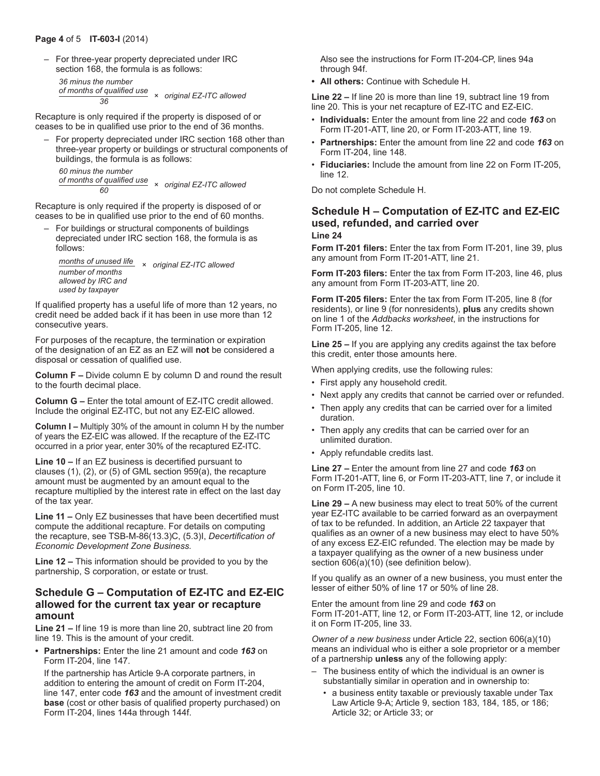– For three-year property depreciated under IRC section 168, the formula is as follows:

```
 36 minus the number
 of months of qualified use × original EZ-ITC allowed 36
```
Recapture is only required if the property is disposed of or ceases to be in qualified use prior to the end of 36 months.

– For property depreciated under IRC section 168 other than three-year property or buildings or structural components of buildings, the formula is as follows: *60 minus the number*

*of months of qualified use <sup>×</sup> original EZ-ITC allowed <sup>60</sup>*

Recapture is only required if the property is disposed of or ceases to be in qualified use prior to the end of 60 months.

– For buildings or structural components of buildings depreciated under IRC section 168, the formula is as follows:

 *months of unused life <sup>×</sup> original EZ-ITC allowed number of months allowed by IRC and used by taxpayer*

If qualified property has a useful life of more than 12 years, no credit need be added back if it has been in use more than 12 consecutive years.

For purposes of the recapture, the termination or expiration of the designation of an EZ as an EZ will **not** be considered a disposal or cessation of qualified use.

**Column F –** Divide column E by column D and round the result to the fourth decimal place.

**Column G –** Enter the total amount of EZ-ITC credit allowed. Include the original EZ-ITC, but not any EZ-EIC allowed.

**Column I –** Multiply 30% of the amount in column H by the number of years the EZ-EIC was allowed. If the recapture of the EZ-ITC occurred in a prior year, enter 30% of the recaptured EZ-ITC.

**Line 10 –** If an EZ business is decertified pursuant to clauses (1), (2), or (5) of GML section 959(a), the recapture amount must be augmented by an amount equal to the recapture multiplied by the interest rate in effect on the last day of the tax year.

**Line 11 –** Only EZ businesses that have been decertified must compute the additional recapture. For details on computing the recapture, see TSB‑M‑86(13.3)C, (5.3)I, *Decertification of Economic Development Zone Business.*

**Line 12 –** This information should be provided to you by the partnership, S corporation, or estate or trust.

## **Schedule G – Computation of EZ-ITC and EZ-EIC allowed for the current tax year or recapture amount**

**Line 21 –** If line 19 is more than line 20, subtract line 20 from line 19. This is the amount of your credit.

**• Partnerships:** Enter the line 21 amount and code *163* on Form IT-204, line 147.

If the partnership has Article 9-A corporate partners, in addition to entering the amount of credit on Form IT-204, line 147, enter code *163* and the amount of investment credit **base** (cost or other basis of qualified property purchased) on Form IT-204, lines 144a through 144f.

Also see the instructions for Form IT-204-CP, lines 94a through 94f.

**• All others:** Continue with Schedule H.

**Line 22 –** If line 20 is more than line 19, subtract line 19 from line 20. This is your net recapture of EZ-ITC and EZ-EIC.

- **Individuals:** Enter the amount from line 22 and code *163* on Form IT-201-ATT, line 20, or Form IT-203-ATT, line 19.
- **Partnerships:** Enter the amount from line 22 and code *163* on Form IT-204, line 148.
- **Fiduciaries:** Include the amount from line 22 on Form IT-205, line 12.

Do not complete Schedule H.

#### **Schedule H – Computation of EZ-ITC and EZ-EIC used, refunded, and carried over Line 24**

**Form IT-201 filers:** Enter the tax from Form IT-201, line 39, plus any amount from Form IT-201-ATT, line 21.

**Form IT-203 filers:** Enter the tax from Form IT-203, line 46, plus any amount from Form IT-203-ATT, line 20.

**Form IT-205 filers:** Enter the tax from Form IT-205, line 8 (for residents), or line 9 (for nonresidents), **plus** any credits shown on line 1 of the *Addbacks worksheet*, in the instructions for Form IT-205, line 12.

**Line 25 –** If you are applying any credits against the tax before this credit, enter those amounts here.

When applying credits, use the following rules:

- First apply any household credit.
- Next apply any credits that cannot be carried over or refunded.
- Then apply any credits that can be carried over for a limited duration.
- Then apply any credits that can be carried over for an unlimited duration.
- Apply refundable credits last.

**Line 27 –** Enter the amount from line 27 and code *163* on Form IT-201-ATT, line 6, or Form IT-203-ATT, line 7, or include it on Form IT-205, line 10.

**Line 29 –** A new business may elect to treat 50% of the current year EZ-ITC available to be carried forward as an overpayment of tax to be refunded. In addition, an Article 22 taxpayer that qualifies as an owner of a new business may elect to have 50% of any excess EZ-EIC refunded. The election may be made by a taxpayer qualifying as the owner of a new business under section 606(a)(10) (see definition below).

If you qualify as an owner of a new business, you must enter the lesser of either 50% of line 17 or 50% of line 28.

Enter the amount from line 29 and code *163* on Form IT-201-ATT, line 12, or Form IT-203-ATT, line 12, or include it on Form IT-205, line 33.

*Owner of a new business* under Article 22, section 606(a)(10) means an individual who is either a sole proprietor or a member of a partnership **unless** any of the following apply:

- The business entity of which the individual is an owner is substantially similar in operation and in ownership to:
	- a business entity taxable or previously taxable under Tax Law Article 9-A; Article 9, section 183, 184, 185, or 186; Article 32; or Article 33; or